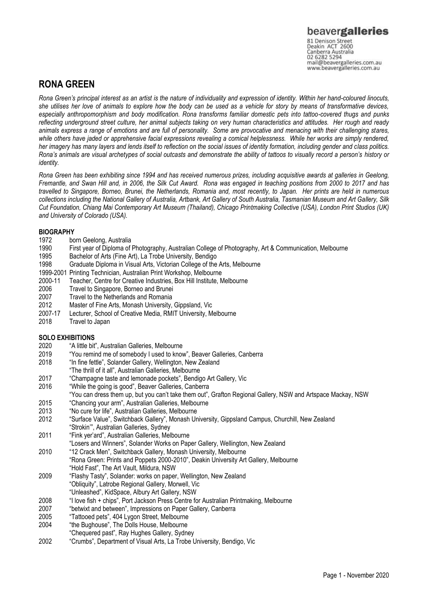# **RONA GREEN**

*Rona Green's principal interest as an artist is the nature of individuality and expression of identity. Within her hand-coloured linocuts, she utilises her love of animals to explore how the body can be used as a vehicle for story by means of transformative devices, especially anthropomorphism and body modification. Rona transforms familiar domestic pets into tattoo-covered thugs and punks reflecting underground street culture, her animal subjects taking on very human characteristics and attitudes. Her rough and ready animals express a range of emotions and are full of personality. Some are provocative and menacing with their challenging stares, while others have jaded or apprehensive facial expressions revealing a comical helplessness. While her works are simply rendered, her imagery has many layers and lends itself to reflection on the social issues of identity formation, including gender and class politics. Rona's animals are visual archetypes of social outcasts and demonstrate the ability of tattoos to visually record a person's history or identity.*

*Rona Green has been exhibiting since 1994 and has received numerous prizes, including acquisitive awards at galleries in Geelong, Fremantle, and Swan Hill and, in 2006, the Silk Cut Award. Rona was engaged in teaching positions from 2000 to 2017 and has travelled to Singapore, Borneo, Brunei, the Netherlands, Romania and, most recently, to Japan. Her prints are held in numerous collections including the National Gallery of Australia, Artbank, Art Gallery of South Australia, Tasmanian Museum and Art Gallery, Silk Cut Foundation, Chiang Mai Contemporary Art Museum (Thailand), Chicago Printmaking Collective (USA), London Print Studios (UK) and University of Colorado (USA).*

# **BIOGRAPHY**<br>1972 bo

- 1972 born Geelong, Australia<br>1990 First vear of Diploma of
- First year of Diploma of Photography, Australian College of Photography, Art & Communication, Melbourne
- 1995 Bachelor of Arts (Fine Art), La Trobe University, Bendigo
- 1998 Graduate Diploma in Visual Arts, Victorian College of the Arts, Melbourne
- 1999-2001 Printing Technician, Australian Print Workshop, Melbourne
- 2000-11 Teacher, Centre for Creative Industries, Box Hill Institute, Melbourne
- 2006 Travel to Singapore, Borneo and Brunei
- 2007 Travel to the Netherlands and Romania<br>2012 Master of Fine Arts, Monash University.
- 2012 Master of Fine Arts, Monash University, Gippsland, Vic
- 2007-17 Lecturer, School of Creative Media, RMIT University, Melbourne
- Travel to Japan

## **SOLO EXHIBITIONS**

- 2020 "A little bit", Australian Galleries, Melbourne
- 2019 "You remind me of somebody I used to know", Beaver Galleries, Canberra
- 2018 "In fine fettle", Solander Gallery, Wellington, New Zealand
- "The thrill of it all", Australian Galleries, Melbourne
- 2017 "Champagne taste and lemonade pockets", Bendigo Art Gallery, Vic
- 2016 "While the going is good", Beaver Galleries, Canberra
- "You can dress them up, but you can't take them out", Grafton Regional Gallery, NSW and Artspace Mackay, NSW
- 2015 "Chancing your arm", Australian Galleries, Melbourne
- 2013 "No cure for life", Australian Galleries, Melbourne
- 2012 "Surface Value", Switchback Gallery", Monash University, Gippsland Campus, Churchill, New Zealand "Strokin'", Australian Galleries, Sydney
- 2011 "Fink yer'ard", Australian Galleries, Melbourne
- "Losers and Winners", Solander Works on Paper Gallery, Wellington, New Zealand
- 2010 "12 Crack Men", Switchback Gallery, Monash University, Melbourne "Rona Green: Prints and Poppets 2000-2010", Deakin University Art Gallery, Melbourne "Hold Fast", The Art Vault, Mildura, NSW
- 2009 "Flashy Tasty", Solander: works on paper, Wellington, New Zealand "Obliquity", Latrobe Regional Gallery, Morwell, Vic
- "Unleashed", KidSpace, Albury Art Gallery, NSW
- 2008 "I love fish + chips", Port Jackson Press Centre for Australian Printmaking, Melbourne
- 2007 "betwixt and between", Impressions on Paper Gallery, Canberra
- 2005 "Tattooed pets", 404 Lygon Street, Melbourne
- 2004 "the Bughouse", The Dolls House, Melbourne
- "Chequered past", Ray Hughes Gallery, Sydney
- 2002 "Crumbs", Department of Visual Arts, La Trobe University, Bendigo, Vic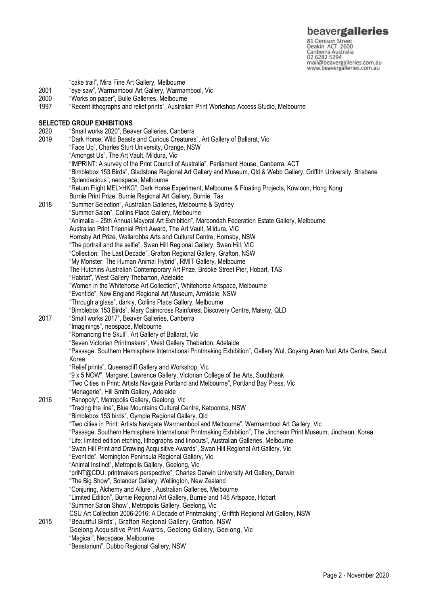81 Denison Street<br>Deakin ACT 2600 Canberra Australia mail@beavergalleries.com.au www.beavergalleries.com.au

- 2001 "eye saw", Warrnambool Art Gallery, Warrnambool, Vic<br>2000 "Works on paper", Bulle Galleries, Melbourne 2000 "Works on paper", Bulle Galleries, Melbourne "Recent lithographs and relief prints", Australian Print Workshop Access Studio, Melbourne **SELECTED GROUP EXHIBITIONS**<br>2020 "Small works 2020", Bea 2020 "Small works 2020", Beaver Galleries, Canberra 2019 "Dark Horse: Wild Beasts and Curious Creatures", Art Gallery of Ballarat, Vic "Face Up", Charles Sturt University, Orange, NSW "Amongst Us", The Art Vault, Mildura, Vic "IMPRINT: A survey of the Print Council of Australia", Parliament House, Canberra, ACT "Bimblebox 153 Birds", Gladstone Regional Art Gallery and Museum, Qld & Webb Gallery, Griffith University, Brisbane "Splendacious", neospace, Melbourne "Return Flight MEL>HKG", Dark Horse Experiment, Melbourne & Floating Projects, Kowloon, Hong Kong Burnie Print Prize, Burnie Regional Art Gallery, Burnie, Tas 2018 "Summer Selection", Australian Galleries, Melbourne & Sydney "Summer Salon", Collins Place Gallery, Melbourne "Animalia – 25th Annual Mayoral Art Exhibition", Maroondah Federation Estate Gallery, Melbourne Australian Print Triennial Print Award, The Art Vault, Mildura, VIC Hornsby Art Prize, Wallarobba Arts and Cultural Centre, Hornsby, NSW "The portrait and the selfie", Swan Hill Regional Gallery, Swan Hill, VIC "Collection: The Last Decade", Grafton Regional Gallery, Grafton, NSW "My Monster: The Human Animal Hybrid", RMIT Gallery, Melbourne The Hutchins Australian Contemporary Art Prize, Brooke Street Pier, Hobart, TAS "Habitat", West Gallery Thebarton, Adelaide "Women in the Whitehorse Art Collection", Whitehorse Artspace, Melbourne "Eventide", New England Regional Art Museum, Armidale, NSW "Through a glass", darkly, Collins Place Gallery, Melbourne "Bimblebox 153 Birds", Mary Cairncross Rainforest Discovery Centre, Maleny, QLD 2017 "Small works 2017", Beaver Galleries, Canberra "Imaginings", neospace, Melbourne "Romancing the Skull", Art Gallery of Ballarat, Vic "Seven Victorian Printmakers", West Gallery Thebarton, Adelaide "Passage: Southern Hemisphere International Printmaking Exhibition", Gallery Wul, Goyang Aram Nuri Arts Centre, Seoul, Korea "Relief prints", Queenscliff Gallery and Workshop, Vic "9 x 5 NOW", Margaret Lawrence Gallery, Victorian College of the Arts, Southbank "Two Cities in Print: Artists Navigate Portland and Melbourne", Portland Bay Press, Vic "Menagerie", Hill Smith Gallery, Adelaide 2016 "Panopoly", Metropolis Gallery, Geelong, Vic "Tracing the line", Blue Mountains Cultural Centre, Katoomba, NSW "Bimblebox 153 birds", Gympie Regional Gallery, Qld "Two cities in Print: Artists Navigate Warrnambool and Melbourne", Warrnambool Art Gallery, Vic "Passage: Southern Hemisphere International Printmaking Exhibition", The Jincheon Print Museum, Jincheon, Korea "Life: limited edition etching, lithographs and linocuts", Australian Galleries, Melbourne "Swan Hill Print and Drawing Acquisitive Awards", Swan Hill Regional Art Gallery, Vic "Eventide", Mornington Peninsula Regional Gallery, Vic "Animal Instinct", Metropolis Gallery, Geelong, Vic "priNT@CDU: printmakers perspective", Charles Darwin University Art Gallery, Darwin "The Big Show", Solander Gallery, Wellington, New Zealand "Conjuring, Alchemy and Allure", Australian Galleries, Melbourne "Limited Edition", Burnie Regional Art Gallery, Burnie and 146 Artspace, Hobart "Summer Salon Show", Metropolis Gallery, Geelong, Vic CSU Art Collection 2006-2016: A Decade of Printmaking", Griffith Regional Art Gallery, NSW 2015 "Beautiful Birds", Grafton Regional Gallery, Grafton, NSW Geelong Acquisitive Print Awards, Geelong Gallery, Geelong, Vic
	- "Magical", Neospace, Melbourne "Beastarium", Dubbo Regional Gallery, NSW

"cake trail", Mira Fine Art Gallery, Melbourne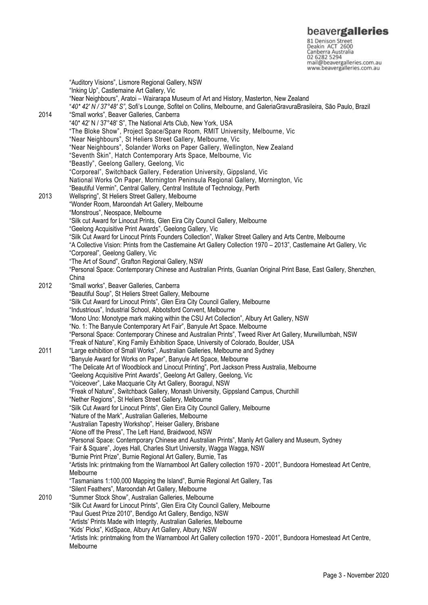**beavergalleries**<br> **81 Denison Street**<br>
Deakin ACT 2600<br>
Canberra Australia<br>
02 6282 5294<br>
mail@beavergalleries.com.au<br>
www.beavergalleries.com.au

|      | "Auditory Visions", Lismore Regional Gallery, NSW<br>"Inking Up", Castlemaine Art Gallery, Vic                                                                                                                   |
|------|------------------------------------------------------------------------------------------------------------------------------------------------------------------------------------------------------------------|
|      | "Near Neighbours", Aratoi - Wairarapa Museum of Art and History, Masterton, New Zealand<br>"40* 42' N / 37°48' S", Sofi's Lounge, Sofitel on Collins, Melbourne, and GaleriaGravuraBrasileira, São Paulo, Brazil |
| 2014 | "Small works", Beaver Galleries, Canberra                                                                                                                                                                        |
|      | "40* 42' N / 37°48' S", The National Arts Club, New York, USA<br>"The Bloke Show", Project Space/Spare Room, RMIT University, Melbourne, Vic                                                                     |
|      | "Near Neighbours", St Heliers Street Gallery, Melbourne, Vic                                                                                                                                                     |
|      | "Near Neighbours", Solander Works on Paper Gallery, Wellington, New Zealand                                                                                                                                      |
|      | "Seventh Skin", Hatch Contemporary Arts Space, Melbourne, Vic                                                                                                                                                    |
|      | "Beastly", Geelong Gallery, Geelong, Vic                                                                                                                                                                         |
|      | "Corporeal", Switchback Gallery, Federation University, Gippsland, Vic                                                                                                                                           |
|      | National Works On Paper, Mornington Peninsula Regional Gallery, Mornington, Vic                                                                                                                                  |
| 2013 | "Beautiful Vermin", Central Gallery, Central Institute of Technology, Perth<br>Wellspring", St Heliers Street Gallery, Melbourne                                                                                 |
|      | "Wonder Room, Maroondah Art Gallery, Melbourne                                                                                                                                                                   |
|      | "Monstrous", Neospace, Melbourne                                                                                                                                                                                 |
|      | "Silk cut Award for Linocut Prints, Glen Eira City Council Gallery, Melbourne                                                                                                                                    |
|      | "Geelong Acquisitive Print Awards", Geelong Gallery, Vic                                                                                                                                                         |
|      | "Silk Cut Award for Linocut Prints Founders Collection", Walker Street Gallery and Arts Centre, Melbourne                                                                                                        |
|      | "A Collective Vision: Prints from the Castlemaine Art Gallery Collection 1970 - 2013", Castlemaine Art Gallery, Vic                                                                                              |
|      | "Corporeal", Geelong Gallery, Vic<br>"The Art of Sound", Grafton Regional Gallery, NSW                                                                                                                           |
|      | "Personal Space: Contemporary Chinese and Australian Prints, Guanlan Original Print Base, East Gallery, Shenzhen,                                                                                                |
|      | China                                                                                                                                                                                                            |
| 2012 | "Small works", Beaver Galleries, Canberra                                                                                                                                                                        |
|      | "Beautiful Soup", St Heliers Street Gallery, Melbourne                                                                                                                                                           |
|      | "Silk Cut Award for Linocut Prints", Glen Eira City Council Gallery, Melbourne                                                                                                                                   |
|      | "Industrious", Industrial School, Abbotsford Convent, Melbourne<br>"Mono Uno: Monotype mark making within the CSU Art Collection", Albury Art Gallery, NSW                                                       |
|      | "No. 1: The Banyule Contemporary Art Fair", Banyule Art Space. Melbourne                                                                                                                                         |
|      | "Personal Space: Contemporary Chinese and Australian Prints", Tweed River Art Gallery, Murwillumbah, NSW                                                                                                         |
|      | "Freak of Nature", King Family Exhibition Space, University of Colorado, Boulder, USA                                                                                                                            |
| 2011 | "Large exhibition of Small Works", Australian Galleries, Melbourne and Sydney                                                                                                                                    |
|      | "Banyule Award for Works on Paper", Banyule Art Space, Melbourne                                                                                                                                                 |
|      | "The Delicate Art of Woodblock and Linocut Printing", Port Jackson Press Australia, Melbourne<br>"Geelong Acquisitive Print Awards", Geelong Art Gallery, Geelong, Vic                                           |
|      | "Voiceover", Lake Macquarie City Art Gallery, Booragul, NSW                                                                                                                                                      |
|      | "Freak of Nature", Switchback Gallery, Monash University, Gippsland Campus, Churchill                                                                                                                            |
|      | "Nether Regions", St Heliers Street Gallery, Melbourne                                                                                                                                                           |
|      | "Silk Cut Award for Linocut Prints", Glen Eira City Council Gallery, Melbourne                                                                                                                                   |
|      | "Nature of the Mark", Australian Galleries, Melbourne                                                                                                                                                            |
|      | "Australian Tapestry Workshop", Heiser Gallery, Brisbane<br>"Alone off the Press", The Left Hand, Braidwood, NSW                                                                                                 |
|      | "Personal Space: Contemporary Chinese and Australian Prints", Manly Art Gallery and Museum, Sydney                                                                                                               |
|      | "Fair & Square", Joyes Hall, Charles Sturt University, Wagga Wagga, NSW                                                                                                                                          |
|      | "Burnie Print Prize", Burnie Regional Art Gallery, Burnie, Tas                                                                                                                                                   |
|      | "Artists Ink: printmaking from the Warnambool Art Gallery collection 1970 - 2001", Bundoora Homestead Art Centre,                                                                                                |
|      | Melbourne                                                                                                                                                                                                        |
|      | "Tasmanians 1:100,000 Mapping the Island", Burnie Regional Art Gallery, Tas<br>"Silent Feathers", Maroondah Art Gallery, Melbourne                                                                               |
| 2010 | "Summer Stock Show", Australian Galleries, Melbourne                                                                                                                                                             |
|      | "Silk Cut Award for Linocut Prints", Glen Eira City Council Gallery, Melbourne                                                                                                                                   |
|      | "Paul Guest Prize 2010", Bendigo Art Gallery, Bendigo, NSW                                                                                                                                                       |
|      | "Artists' Prints Made with Integrity, Australian Galleries, Melbourne                                                                                                                                            |
|      | "Kids' Picks", KidSpace, Albury Art Gallery, Albury, NSW                                                                                                                                                         |
|      | "Artists Ink: printmaking from the Warnambool Art Gallery collection 1970 - 2001", Bundoora Homestead Art Centre,<br>Melbourne                                                                                   |
|      |                                                                                                                                                                                                                  |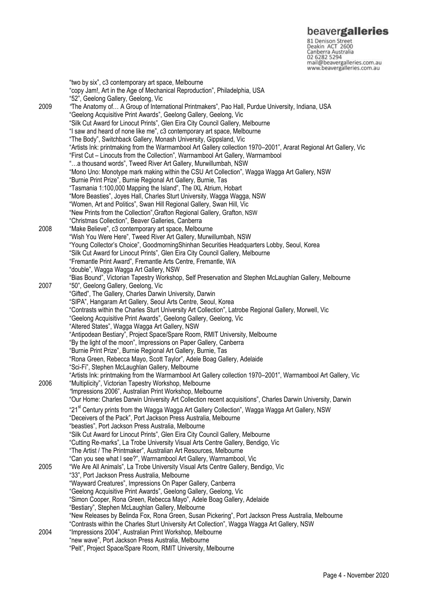**beavergalleries**<br> **81 Denison Street**<br>
Deakin ACT 2600<br>
Canberra Australia<br>
02 6282 5294<br>
mail@beavergalleries.com.au<br>
www.beavergalleries.com.au

|      | "two by six", c3 contemporary art space, Melbourne                                                                 |
|------|--------------------------------------------------------------------------------------------------------------------|
|      | "copy Jam!, Art in the Age of Mechanical Reproduction", Philadelphia, USA                                          |
|      | "52", Geelong Gallery, Geelong, Vic                                                                                |
| 2009 | "The Anatomy of A Group of International Printmakers", Pao Hall, Purdue University, Indiana, USA                   |
|      | "Geelong Acquisitive Print Awards", Geelong Gallery, Geelong, Vic                                                  |
|      | "Silk Cut Award for Linocut Prints", Glen Eira City Council Gallery, Melbourne                                     |
|      | "I saw and heard of none like me", c3 contemporary art space, Melbourne                                            |
|      | "The Body", Switchback Gallery, Monash University, Gippsland, Vic                                                  |
|      | "Artists Ink: printmaking from the Warrnambool Art Gallery collection 1970–2001", Ararat Regional Art Gallery, Vic |
|      | "First Cut - Linocuts from the Collection", Warrnambool Art Gallery, Warrnambool                                   |
|      | "a thousand words", Tweed River Art Gallery, Murwillumbah, NSW                                                     |
|      | "Mono Uno: Monotype mark making within the CSU Art Collection", Wagga Wagga Art Gallery, NSW                       |
|      |                                                                                                                    |
|      | "Burnie Print Prize", Burnie Regional Art Gallery, Burnie, Tas                                                     |
|      | "Tasmania 1:100,000 Mapping the Island", The IXL Atrium, Hobart                                                    |
|      | "More Beasties", Joyes Hall, Charles Sturt University, Wagga Wagga, NSW                                            |
|      | "Women, Art and Politics", Swan Hill Regional Gallery, Swan Hill, Vic                                              |
|      | "New Prints from the Collection", Grafton Regional Gallery, Grafton, NSW                                           |
|      | "Christmas Collection", Beaver Galleries, Canberra                                                                 |
| 2008 | "Make Believe", c3 contemporary art space, Melbourne                                                               |
|      | "Wish You Were Here", Tweed River Art Gallery, Murwillumbah, NSW                                                   |
|      | "Young Collector's Choice", GoodmorningShinhan Securities Headquarters Lobby, Seoul, Korea                         |
|      | "Silk Cut Award for Linocut Prints", Glen Eira City Council Gallery, Melbourne                                     |
|      | "Fremantle Print Award", Fremantle Arts Centre, Fremantle, WA                                                      |
|      | "double", Wagga Wagga Art Gallery, NSW                                                                             |
|      | "Bias Bound", Victorian Tapestry Workshop, Self Preservation and Stephen McLaughlan Gallery, Melbourne             |
| 2007 | "50", Geelong Gallery, Geelong, Vic                                                                                |
|      | "Gifted", The Gallery, Charles Darwin University, Darwin                                                           |
|      | "SIPA", Hangaram Art Gallery, Seoul Arts Centre, Seoul, Korea                                                      |
|      | "Contrasts within the Charles Sturt University Art Collection", Latrobe Regional Gallery, Morwell, Vic             |
|      | "Geelong Acquisitive Print Awards", Geelong Gallery, Geelong, Vic                                                  |
|      | "Altered States", Wagga Wagga Art Gallery, NSW                                                                     |
|      | "Antipodean Bestiary", Project Space/Spare Room, RMIT University, Melbourne                                        |
|      | "By the light of the moon", Impressions on Paper Gallery, Canberra                                                 |
|      | "Burnie Print Prize", Burnie Regional Art Gallery, Burnie, Tas                                                     |
|      | "Rona Green, Rebecca Mayo, Scott Taylor", Adele Boag Gallery, Adelaide                                             |
|      | "Sci-Fi", Stephen McLaughlan Gallery, Melbourne                                                                    |
|      | "Artists Ink: printmaking from the Warrnambool Art Gallery collection 1970-2001", Warrnambool Art Gallery, Vic     |
| 2006 | "Multiplicity", Victorian Tapestry Workshop, Melbourne                                                             |
|      | "Impressions 2006", Australian Print Workshop, Melbourne                                                           |
|      | "Our Home: Charles Darwin University Art Collection recent acquisitions", Charles Darwin University, Darwin        |
|      | "21 <sup>st</sup> Century prints from the Wagga Wagga Art Gallery Collection", Wagga Wagga Art Gallery, NSW        |
|      | "Deceivers of the Pack", Port Jackson Press Australia, Melbourne                                                   |
|      | "beasties", Port Jackson Press Australia, Melbourne                                                                |
|      | "Silk Cut Award for Linocut Prints", Glen Eira City Council Gallery, Melbourne                                     |
|      | "Cutting Re-marks", La Trobe University Visual Arts Centre Gallery, Bendigo, Vic                                   |
|      | "The Artist / The Printmaker", Australian Art Resources, Melbourne                                                 |
|      | "Can you see what I see?", Warrnambool Art Gallery, Warrnambool, Vic                                               |
| 2005 | "We Are All Animals", La Trobe University Visual Arts Centre Gallery, Bendigo, Vic                                 |
|      | "33", Port Jackson Press Australia, Melbourne                                                                      |
|      | "Wayward Creatures", Impressions On Paper Gallery, Canberra                                                        |
|      |                                                                                                                    |
|      | "Geelong Acquisitive Print Awards", Geelong Gallery, Geelong, Vic                                                  |
|      | "Simon Cooper, Rona Green, Rebecca Mayo", Adele Boag Gallery, Adelaide                                             |
|      | "Bestiary", Stephen McLaughlan Gallery, Melbourne                                                                  |
|      | "New Releases by Belinda Fox, Rona Green, Susan Pickering", Port Jackson Press Australia, Melbourne                |
|      | "Contrasts within the Charles Sturt University Art Collection", Wagga Wagga Art Gallery, NSW                       |
| 2004 | "Impressions 2004", Australian Print Workshop, Melbourne                                                           |
|      | "new wave", Port Jackson Press Australia, Melbourne                                                                |
|      | "Pelt", Project Space/Spare Room, RMIT University, Melbourne                                                       |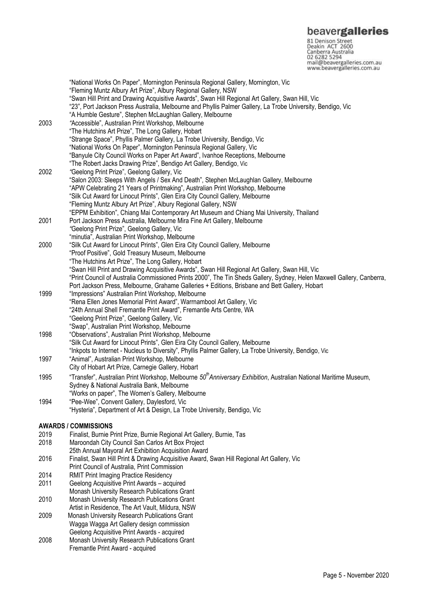**beavergalleries**<br> **81 Denison Street**<br>
Deakin ACT 2600<br>
Canberra Australia<br>
02 6282 5294<br>
mail@beavergalleries.com.au<br>
www.beavergalleries.com.au

|      | "National Works On Paper", Mornington Peninsula Regional Gallery, Mornington, Vic                                              |
|------|--------------------------------------------------------------------------------------------------------------------------------|
|      | "Fleming Muntz Albury Art Prize", Albury Regional Gallery, NSW                                                                 |
|      | "Swan Hill Print and Drawing Acquisitive Awards", Swan Hill Regional Art Gallery, Swan Hill, Vic                               |
|      | "23", Port Jackson Press Australia, Melbourne and Phyllis Palmer Gallery, La Trobe University, Bendigo, Vic                    |
|      | "A Humble Gesture", Stephen McLaughlan Gallery, Melbourne                                                                      |
| 2003 | "Accessible", Australian Print Workshop, Melbourne                                                                             |
|      | "The Hutchins Art Prize", The Long Gallery, Hobart                                                                             |
|      | "Strange Space", Phyllis Palmer Gallery, La Trobe University, Bendigo, Vic                                                     |
|      | "National Works On Paper", Mornington Peninsula Regional Gallery, Vic                                                          |
|      | "Banyule City Council Works on Paper Art Award", Ivanhoe Receptions, Melbourne                                                 |
|      | "The Robert Jacks Drawing Prize", Bendigo Art Gallery, Bendigo, Vic                                                            |
| 2002 | "Geelong Print Prize", Geelong Gallery, Vic                                                                                    |
|      | "Salon 2003: Sleeps With Angels / Sex And Death", Stephen McLaughlan Gallery, Melbourne                                        |
|      | "APW Celebrating 21 Years of Printmaking", Australian Print Workshop, Melbourne                                                |
|      | "Silk Cut Award for Linocut Prints", Glen Eira City Council Gallery, Melbourne                                                 |
|      | "Fleming Muntz Albury Art Prize", Albury Regional Gallery, NSW                                                                 |
|      | "EPPM Exhibition", Chiang Mai Contemporary Art Museum and Chiang Mai University, Thailand                                      |
| 2001 | Port Jackson Press Australia, Melbourne Mira Fine Art Gallery, Melbourne                                                       |
|      | "Geelong Print Prize", Geelong Gallery, Vic                                                                                    |
|      | "minutia", Australian Print Workshop, Melbourne                                                                                |
| 2000 | "Silk Cut Award for Linocut Prints", Glen Eira City Council Gallery, Melbourne                                                 |
|      | "Proof Positive", Gold Treasury Museum, Melbourne                                                                              |
|      | "The Hutchins Art Prize", The Long Gallery, Hobart                                                                             |
|      |                                                                                                                                |
|      | "Swan Hill Print and Drawing Acquisitive Awards", Swan Hill Regional Art Gallery, Swan Hill, Vic                               |
|      | "Print Council of Australia Commissioned Prints 2000", The Tin Sheds Gallery, Sydney, Helen Maxwell Gallery, Canberra,         |
|      | Port Jackson Press, Melbourne, Grahame Galleries + Editions, Brisbane and Bett Gallery, Hobart                                 |
| 1999 | "Impressions" Australian Print Workshop, Melbourne                                                                             |
|      | "Rena Ellen Jones Memorial Print Award", Warrnambool Art Gallery, Vic                                                          |
|      | "24th Annual Shell Fremantle Print Award", Fremantle Arts Centre, WA                                                           |
|      | "Geelong Print Prize", Geelong Gallery, Vic                                                                                    |
|      | "Swap", Australian Print Workshop, Melbourne                                                                                   |
| 1998 | "Observations", Australian Print Workshop, Melbourne                                                                           |
|      | "Silk Cut Award for Linocut Prints", Glen Eira City Council Gallery, Melbourne                                                 |
|      | "Inkpots to Internet - Nucleus to Diversity", Phyllis Palmer Gallery, La Trobe University, Bendigo, Vic                        |
| 1997 | "Animal", Australian Print Workshop, Melbourne                                                                                 |
|      | City of Hobart Art Prize, Carnegie Gallery, Hobart                                                                             |
| 1995 | "Transfer", Australian Print Workshop, Melbourne 50 <sup>th</sup> Anniversary Exhibition, Australian National Maritime Museum, |
|      | Sydney & National Australia Bank, Melbourne                                                                                    |
|      | "Works on paper", The Women's Gallery, Melbourne                                                                               |
| 1994 | "Pee-Wee", Convent Gallery, Daylesford, Vic                                                                                    |
|      | "Hysteria", Department of Art & Design, La Trobe University, Bendigo, Vic                                                      |
|      |                                                                                                                                |
|      | <b>AWARDS / COMMISSIONS</b>                                                                                                    |
| 2019 | Finalist, Burnie Print Prize, Burnie Regional Art Gallery, Burnie, Tas                                                         |
| 2018 | Maroondah City Council San Carlos Art Box Project                                                                              |
|      | 25th Annual Mayoral Art Exhibition Acquisition Award                                                                           |
| 2016 | Finalist, Swan Hill Print & Drawing Acquisitive Award, Swan Hill Regional Art Gallery, Vic                                     |
|      | Print Council of Australia, Print Commission                                                                                   |
| 2014 | <b>RMIT Print Imaging Practice Residency</b>                                                                                   |
| 2011 | Geelong Acquisitive Print Awards - acquired                                                                                    |
|      | Monash University Research Publications Grant                                                                                  |
| 2010 | Monash University Research Publications Grant                                                                                  |
|      | Artist in Residence, The Art Vault, Mildura, NSW                                                                               |
| 2009 | Monash University Research Publications Grant                                                                                  |
|      | Wagga Wagga Art Gallery design commission                                                                                      |
|      | Geelong Acquisitive Print Awards - acquired                                                                                    |
| 2008 | Monash University Research Publications Grant                                                                                  |
|      | Fremantle Print Award - acquired                                                                                               |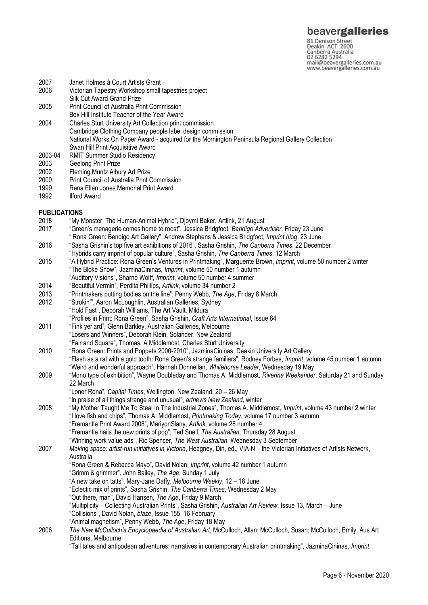81 Denison Street<br>Deakin ACT 2600 Canberra Australia mail@beavergalleries.com.au www.beavergalleries.com.au

- 2007 Janet Holmes à Court Artists Grant
- 2006 Victorian Tapestry Workshop small tapestries project
- Silk Cut Award Grand Prize
- 2005 Print Council of Australia Print Commission Box Hill Institute Teacher of the Year Award
- 
- 2004 Charles Sturt University Art Collection print commission Cambridge Clothing Company people label design commission National Works On Paper Award - acquired for the Mornington Peninsula Regional Gallery Collection Swan Hill Print Acquisitive Award
- 2003-04 RMIT Summer Studio Residency
- 2003 Geelong Print Prize<br>2002 Fleming Muntz Albu
- Fleming Muntz Albury Art Prize
- 2000 Print Council of Australia Print Commission<br>1999 Rena Ellen Jones Memorial Print Award
- 1999 Rena Ellen Jones Memorial Print Award<br>1992 Ilford Award
- **Ilford Award**

### **PUBLICATIONS**

- 2018 "My Monster: The Human-Animal Hybrid", Djoymi Baker, Artlink, 21 August
- 2017 "Green's menagerie comes home to roost", Jessica Bridgfoot, *Bendigo Advertiser*, Friday 23 June "'Rona Green: Bendigo Art Gallery", Andrew Stephens & Jessica Bridgfoot, *Imprint bl*o*g*, 23 June
- 2016 "Sasha Grishin's top five art exhibitions of 2016", Sasha Grishin, *The Canberra Times*, 22 December
- "Hybrids carry imprint of popular culture", Sasha Grishin, *The Canberra Times*, 12 March
- 2015 "A Hybrid Practice: Rona Green's Ventures in Printmaking", Marguerite Brown, *Imprint*, volume 50 number 2 winter "The Bloke Show", JazminaCininas, *Imprint*, volume 50 number 1 autumn
- "Auditory Visions", Sharne Wolff, *Imprint*, volume 50 number 4 summer
- 2014 "Beautiful Vermin", Perdita Phillips, *Artlink*, volume 34 number 2
- 2013 "Printmakers putting bodies on the line", Penny Webb*, The Age*, Friday 8 March
- "Strokin'", Aaron McLoughlin, Australian Galleries, Sydney "Hold Fast", Deborah Williams, The Art Vault, Mildura
- "Profiles in Print: Rona Green", Sasha Grishin, *Craft Arts International*, Issue 84
- 2011 "Fink yer'ard", Glenn Barkley, Australian Galleries, Melbourne "Losers and Winners", Deborah Klein, Solander, New Zealand "Fair and Square", Thomas. A Middlemost, Charles Sturt University
- 2010 "Rona Green: Prints and Poppets 2000-2010", JazminaCininas, Deakin University Art Gallery "Flash as a rat with a gold tooth: Rona Green's strange familiars". Rodney Forbes, *Imprint*, volume 45 number 1 autumn "Weird and wonderful approach", Hannah Donnellan, *Whitehorse Leader*, Wednesday 19 May
- 2009 "Mono type of exhibition", Wayne Doubleday and Thomas A. Middlemost, *Riverina Weekender*, Saturday 21 and Sunday 22 March
	- "Loner Rona", *Capital Times*, Wellington, New Zealand, 20 26 May
	- "In praise of all things strange and unusual", *artnews New Zealand*, winter
- 2008 "My Mother Taught Me To Steal In The Industrial Zones", Thomas A. Middlemost, *Imprint*, volume 43 number 2 winter "I love fish and chips", Thomas A. Middlemost, *Printmaking Today*, volume 17 number 3 autumn "Fremantle Print Award 2008", MariyonSlany, *Artlink*, volume 28 number 4 "Fremantle hails the new prints of pop", Ted Snell, *The Australian*, Thursday 28 August "Winning work value ads", Ric Spencer, *The West Australian*, Wednesday 3 September
- 2007 *Making space: artist-run initiatives in Victoria*, Heagney, Din, ed., VIA-N the Victorian Initiatives of Artists Network, Australia
	- "Rona Green & Rebecca Mayo", David Nolan, *Imprint*, volume 42 number 1 autumn
		- "Grimm & grimmer", John Bailey, *The Age*, Sunday 1 July
		- "A new take on tatts", Mary-Jane Daffy, *Melbourne Weekly*, 12 18 June
		- "Eclectic mix of prints", Sasha Grishin, *The Canberra Times*, Wednesday 2 May
	- "Out there, man", David Hansen, *The Age*, Friday 9 March
		- "Multiplicity Collecting Australian Prints", Sasha Grishin, *Australian Art Review*, Issue 13, March June
	- "Collisions", David Nolan, *blaze*, Issue 155, 16 February
	- "Animal magnetism", Penny Webb, *The Age*, Friday 18 May
- 2006 *The New McCulloch's Encyclopaedia of Australian Art*, McCulloch, Allan; McCulloch, Susan; McCulloch, Emily, Aus Art Editions, Melbourne
	- "Tall tales and antipodean adventures: narratives in contemporary Australian printmaking", JazminaCininas, *Imprint*,